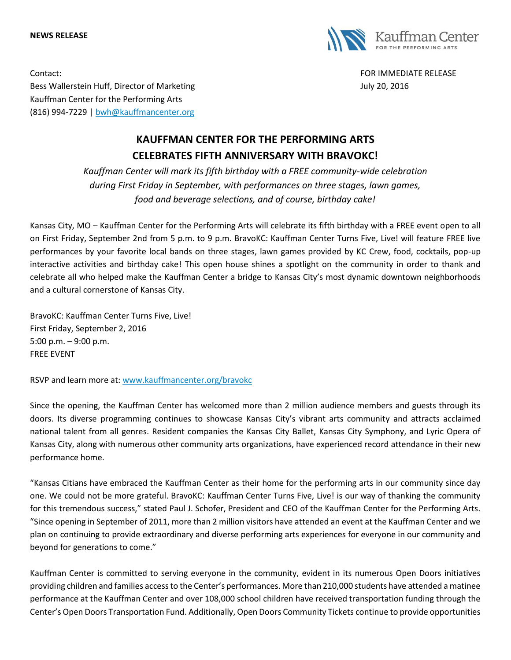## **NEWS RELEASE**



Contact: FOR IMMEDIATE RELEASE Bess Wallerstein Huff, Director of Marketing Theorem and Theorem 30, 2016 Kauffman Center for the Performing Arts (816) 994-7229 | [bwh@kauffmancenter.org](mailto:bwh@kauffmancenter.org)

## **KAUFFMAN CENTER FOR THE PERFORMING ARTS CELEBRATES FIFTH ANNIVERSARY WITH BRAVOKC!**

*Kauffman Center will mark its fifth birthday with a FREE community-wide celebration during First Friday in September, with performances on three stages, lawn games, food and beverage selections, and of course, birthday cake!*

Kansas City, MO – Kauffman Center for the Performing Arts will celebrate its fifth birthday with a FREE event open to all on First Friday, September 2nd from 5 p.m. to 9 p.m. BravoKC: Kauffman Center Turns Five, Live! will feature FREE live performances by your favorite local bands on three stages, lawn games provided by KC Crew, food, cocktails, pop-up interactive activities and birthday cake! This open house shines a spotlight on the community in order to thank and celebrate all who helped make the Kauffman Center a bridge to Kansas City's most dynamic downtown neighborhoods and a cultural cornerstone of Kansas City.

BravoKC: Kauffman Center Turns Five, Live! First Friday, September 2, 2016 5:00 p.m. – 9:00 p.m. FREE EVENT

RSVP and learn more at: [www.kauffmancenter.org/bravokc](http://www.kauffmancenter.org/bravokc)

Since the opening, the Kauffman Center has welcomed more than 2 million audience members and guests through its doors. Its diverse programming continues to showcase Kansas City's vibrant arts community and attracts acclaimed national talent from all genres. Resident companies the Kansas City Ballet, Kansas City Symphony, and Lyric Opera of Kansas City, along with numerous other community arts organizations, have experienced record attendance in their new performance home.

"Kansas Citians have embraced the Kauffman Center as their home for the performing arts in our community since day one. We could not be more grateful. BravoKC: Kauffman Center Turns Five, Live! is our way of thanking the community for this tremendous success," stated Paul J. Schofer, President and CEO of the Kauffman Center for the Performing Arts. "Since opening in September of 2011, more than 2 million visitors have attended an event at the Kauffman Center and we plan on continuing to provide extraordinary and diverse performing arts experiences for everyone in our community and beyond for generations to come."

Kauffman Center is committed to serving everyone in the community, evident in its numerous Open Doors initiatives providing children and families access to the Center's performances. More than 210,000 students have attended a matinee performance at the Kauffman Center and over 108,000 school children have received transportation funding through the Center's Open Doors Transportation Fund. Additionally, Open Doors Community Tickets continue to provide opportunities